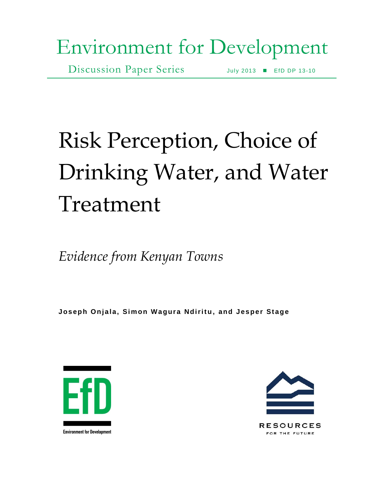## Environment for Development

Discussion Paper Series July 2013 EfD DP 13-10

# Risk Perception, Choice of Drinking Water, and Water Treatment

*Evidence from Kenyan Towns*

**J os eph Onjala, Sim on Wa gura Ndirit u , and J es pe r St age**



**RESOURCES** FOR THE FUTURE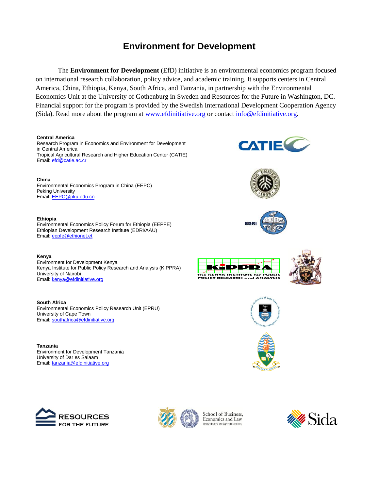## **Environment for Development**

The **Environment for Development** (EfD) initiative is an environmental economics program focused on international research collaboration, policy advice, and academic training. It supports centers in Central America, China, Ethiopia, Kenya, South Africa, and Tanzania, in partnership with the Environmental Economics Unit at the University of Gothenburg in Sweden and Resources for the Future in Washington, DC. Financial support for the program is provided by the Swedish International Development Cooperation Agency (Sida). Read more about the program at [www.efdinitiative.org](http://www.efdinitiative.org/) or contact [info@efdinitiative.org.](mailto:info@efdinitiative.org)

#### **Central America**

Research Program in Economics and Environment for Development in Central America Tropical Agricultural Research and Higher Education Center (CATIE) Email[: efd@catie.ac.cr](mailto:efd@catie.ac.cr)

#### **China**

Environmental Economics Program in China (EEPC) Peking University Email[: EEPC@pku.edu.cn](mailto:EEPC@pku.edu.cn)

#### **Ethiopia**

Environmental Economics Policy Forum for Ethiopia (EEPFE) Ethiopian Development Research Institute (EDRI/AAU) Email[: eepfe@ethionet.et](mailto:eepfe@ethionet.et) 

#### **Kenya**

Environment for Development Kenya Kenya Institute for Public Policy Research and Analysis (KIPPRA) University of Nairobi Email[: kenya@efdinitiative.org](mailto:kenya@efdinitiative.org) 

**South Africa** Environmental Economics Policy Research Unit (EPRU) University of Cape Town Email[: southafrica@efdinitiative.org](mailto:southafrica@efdinitiative.org) 

**Tanzania** Environment for Development Tanzania University of Dar es Salaam Email[: tanzania@efdinitiative.org](mailto:tanzania@efdinitiative.org)





School of Business, Economics and Law UNIVERSITY OF GOTHENBURG





**EDRI** 





**CATIE** 

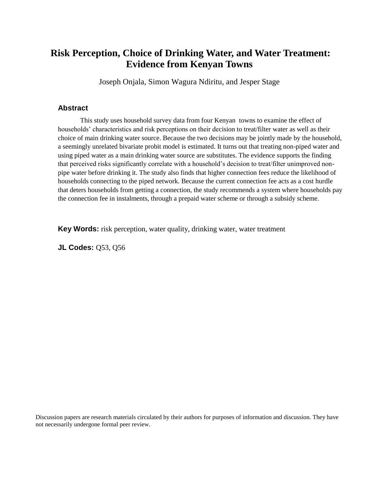## **Risk Perception, Choice of Drinking Water, and Water Treatment: Evidence from Kenyan Towns**

Joseph Onjala, Simon Wagura Ndiritu, and Jesper Stage

#### **Abstract**

This study uses household survey data from four Kenyan towns to examine the effect of households' characteristics and risk perceptions on their decision to treat/filter water as well as their choice of main drinking water source. Because the two decisions may be jointly made by the household, a seemingly unrelated bivariate probit model is estimated. It turns out that treating non-piped water and using piped water as a main drinking water source are substitutes. The evidence supports the finding that perceived risks significantly correlate with a household's decision to treat/filter unimproved nonpipe water before drinking it. The study also finds that higher connection fees reduce the likelihood of households connecting to the piped network. Because the current connection fee acts as a cost hurdle that deters households from getting a connection, the study recommends a system where households pay the connection fee in instalments, through a prepaid water scheme or through a subsidy scheme.

**Key Words:** risk perception, water quality, drinking water, water treatment

**JL Codes:** Q53, Q56

Discussion papers are research materials circulated by their authors for purposes of information and discussion. They have not necessarily undergone formal peer review.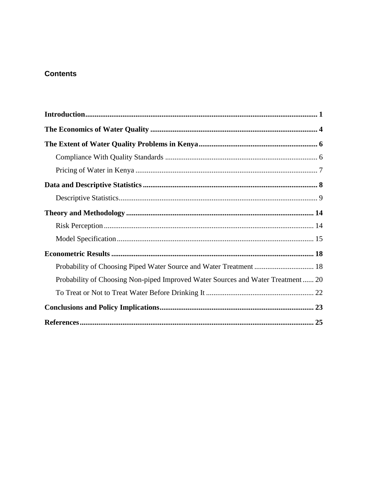## **Contents**

| Probability of Choosing Piped Water Source and Water Treatment  18              |  |
|---------------------------------------------------------------------------------|--|
| Probability of Choosing Non-piped Improved Water Sources and Water Treatment 20 |  |
|                                                                                 |  |
|                                                                                 |  |
|                                                                                 |  |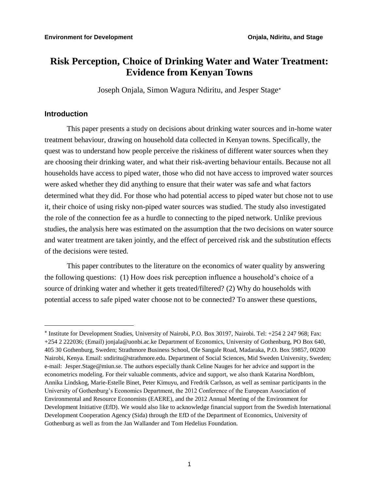## **Risk Perception, Choice of Drinking Water and Water Treatment: Evidence from Kenyan Towns**

Joseph Onjala, Simon Wagura Ndiritu, and Jesper Stage

#### **Introduction**

 $\overline{a}$ 

This paper presents a study on decisions about drinking water sources and in-home water treatment behaviour, drawing on household data collected in Kenyan towns. Specifically, the quest was to understand how people perceive the riskiness of different water sources when they are choosing their drinking water, and what their risk-averting behaviour entails. Because not all households have access to piped water, those who did not have access to improved water sources were asked whether they did anything to ensure that their water was safe and what factors determined what they did. For those who had potential access to piped water but chose not to use it, their choice of using risky non-piped water sources was studied. The study also investigated the role of the connection fee as a hurdle to connecting to the piped network. Unlike previous studies, the analysis here was estimated on the assumption that the two decisions on water source and water treatment are taken jointly, and the effect of perceived risk and the substitution effects of the decisions were tested.

This paper contributes to the literature on the economics of water quality by answering the following questions: (1) How does risk perception influence a household's choice of a source of drinking water and whether it gets treated/filtered? (2) Why do households with potential access to safe piped water choose not to be connected? To answer these questions,

Institute for Development Studies, University of Nairobi, P.O. Box 30197, Nairobi. Tel: +254 2 247 968; Fax: +254 2 222036; (Email) jonjala@uonbi.ac.ke Department of Economics, University of Gothenburg, PO Box 640, 405 30 Gothenburg, Sweden; Strathmore Business School, Ole Sangale Road, Madaraka, P.O. Box 59857, 00200 Nairobi, Kenya. Email: sndiritu@strathmore.edu. Department of Social Sciences, Mid Sweden University, Sweden; e-mail: Jesper.Stage@miun.se. The authors especially thank Celine Nauges for her advice and support in the econometrics modeling. For their valuable comments, advice and support, we also thank Katarina Nordblom, Annika Lindskog, Marie-Estelle Binet, Peter Kimuyu, and Fredrik Carlsson, as well as seminar participants in the University of Gothenburg's Economics Department, the 2012 Conference of the European Association of Environmental and Resource Economists (EAERE), and the 2012 Annual Meeting of the Environment for Development Initiative (EfD). We would also like to acknowledge financial support from the Swedish International Development Cooperation Agency (Sida) through the EfD of the Department of Economics, University of Gothenburg as well as from the Jan Wallander and Tom Hedelius Foundation.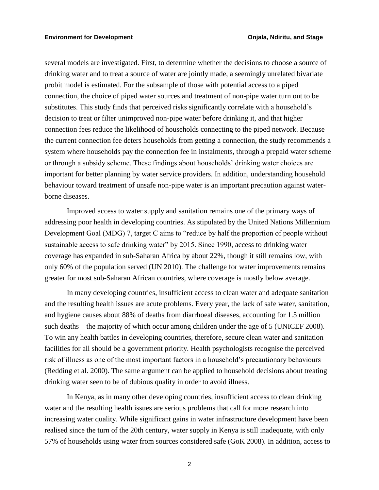several models are investigated. First, to determine whether the decisions to choose a source of drinking water and to treat a source of water are jointly made, a seemingly unrelated bivariate probit model is estimated. For the subsample of those with potential access to a piped connection, the choice of piped water sources and treatment of non-pipe water turn out to be substitutes. This study finds that perceived risks significantly correlate with a household's decision to treat or filter unimproved non-pipe water before drinking it, and that higher connection fees reduce the likelihood of households connecting to the piped network. Because the current connection fee deters households from getting a connection, the study recommends a system where households pay the connection fee in instalments, through a prepaid water scheme or through a subsidy scheme. These findings about households' drinking water choices are important for better planning by water service providers. In addition, understanding household behaviour toward treatment of unsafe non-pipe water is an important precaution against waterborne diseases.

Improved access to water supply and sanitation remains one of the primary ways of addressing poor health in developing countries. As stipulated by the United Nations Millennium Development Goal (MDG) 7, target C aims to "reduce by half the proportion of people without sustainable access to safe drinking water" by 2015. Since 1990, access to drinking water coverage has expanded in sub-Saharan Africa by about 22%, though it still remains low, with only 60% of the population served (UN 2010). The challenge for water improvements remains greater for most sub-Saharan African countries, where coverage is mostly below average.

In many developing countries, insufficient access to clean water and adequate sanitation and the resulting health issues are acute problems. Every year, the lack of safe water, sanitation, and hygiene causes about 88% of deaths from diarrhoeal diseases, accounting for 1.5 million such deaths – the majority of which occur among children under the age of 5 (UNICEF 2008). To win any health battles in developing countries, therefore, secure clean water and sanitation facilities for all should be a government priority. Health psychologists recognise the perceived risk of illness as one of the most important factors in a household's precautionary behaviours (Redding et al. 2000). The same argument can be applied to household decisions about treating drinking water seen to be of dubious quality in order to avoid illness.

In Kenya, as in many other developing countries, insufficient access to clean drinking water and the resulting health issues are serious problems that call for more research into increasing water quality. While significant gains in water infrastructure development have been realised since the turn of the 20th century, water supply in Kenya is still inadequate, with only 57% of households using water from sources considered safe (GoK 2008). In addition, access to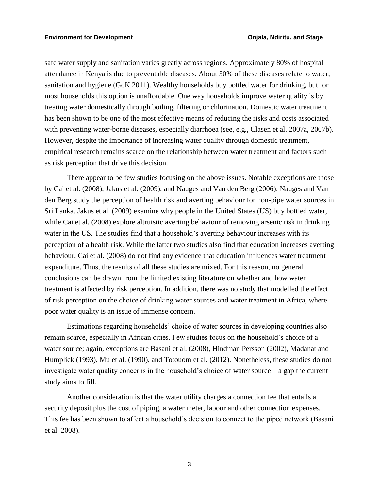safe water supply and sanitation varies greatly across regions. Approximately 80% of hospital attendance in Kenya is due to preventable diseases. About 50% of these diseases relate to water, sanitation and hygiene (GoK 2011). Wealthy households buy bottled water for drinking, but for most households this option is unaffordable. One way households improve water quality is by treating water domestically through boiling, filtering or chlorination. Domestic water treatment has been shown to be one of the most effective means of reducing the risks and costs associated with preventing water-borne diseases, especially diarrhoea (see, e.g., Clasen et al. 2007a, 2007b). However, despite the importance of increasing water quality through domestic treatment, empirical research remains scarce on the relationship between water treatment and factors such as risk perception that drive this decision.

There appear to be few studies focusing on the above issues. Notable exceptions are those by Cai et al. (2008), Jakus et al. (2009), and Nauges and Van den Berg (2006). Nauges and Van den Berg study the perception of health risk and averting behaviour for non-pipe water sources in Sri Lanka. Jakus et al. (2009) examine why people in the United States (US) buy bottled water, while Cai et al. (2008) explore altruistic averting behaviour of removing arsenic risk in drinking water in the US. The studies find that a household's averting behaviour increases with its perception of a health risk. While the latter two studies also find that education increases averting behaviour, Cai et al. (2008) do not find any evidence that education influences water treatment expenditure. Thus, the results of all these studies are mixed. For this reason, no general conclusions can be drawn from the limited existing literature on whether and how water treatment is affected by risk perception. In addition, there was no study that modelled the effect of risk perception on the choice of drinking water sources and water treatment in Africa, where poor water quality is an issue of immense concern.

Estimations regarding households' choice of water sources in developing countries also remain scarce, especially in African cities. Few studies focus on the household's choice of a water source; again, exceptions are Basani et al. (2008), Hindman Persson (2002), Madanat and Humplick (1993), Mu et al. (1990), and Totouom et al. (2012). Nonetheless, these studies do not investigate water quality concerns in the household's choice of water source – a gap the current study aims to fill.

Another consideration is that the water utility charges a connection fee that entails a security deposit plus the cost of piping, a water meter, labour and other connection expenses. This fee has been shown to affect a household's decision to connect to the piped network (Basani et al. 2008).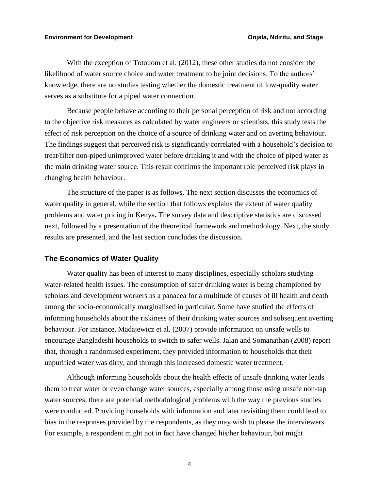With the exception of Totouom et al. (2012), these other studies do not consider the likelihood of water source choice and water treatment to be joint decisions. To the authors' knowledge, there are no studies testing whether the domestic treatment of low-quality water serves as a substitute for a piped water connection.

Because people behave according to their personal perception of risk and not according to the objective risk measures as calculated by water engineers or scientists, this study tests the effect of risk perception on the choice of a source of drinking water and on averting behaviour. The findings suggest that perceived risk is significantly correlated with a household's decision to treat/filter non-piped unimproved water before drinking it and with the choice of piped water as the main drinking water source. This result confirms the important role perceived risk plays in changing health behaviour.

The structure of the paper is as follows. The next section discusses the economics of water quality in general, while the section that follows explains the extent of water quality problems and water pricing in Kenya**.** The survey data and descriptive statistics are discussed next, followed by a presentation of the theoretical framework and methodology. Next, the study results are presented, and the last section concludes the discussion.

#### **The Economics of Water Quality**

Water quality has been of interest to many disciplines, especially scholars studying water-related health issues. The consumption of safer drinking water is being championed by scholars and development workers as a panacea for a multitude of causes of ill health and death among the socio-economically marginalised in particular. Some have studied the effects of informing households about the riskiness of their drinking water sources and subsequent averting behaviour. For instance, Madajewicz et al. (2007) provide information on unsafe wells to encourage Bangladeshi households to switch to safer wells. Jalan and Somanathan (2008) report that, through a randomised experiment, they provided information to households that their unpurified water was dirty, and through this increased domestic water treatment.

Although informing households about the health effects of unsafe drinking water leads them to treat water or even change water sources, especially among those using unsafe non-tap water sources, there are potential methodological problems with the way the previous studies were conducted. Providing households with information and later revisiting them could lead to bias in the responses provided by the respondents, as they may wish to please the interviewers. For example, a respondent might not in fact have changed his/her behaviour, but might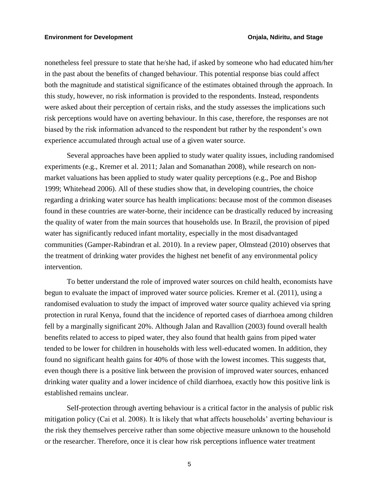nonetheless feel pressure to state that he/she had, if asked by someone who had educated him/her in the past about the benefits of changed behaviour. This potential response bias could affect both the magnitude and statistical significance of the estimates obtained through the approach. In this study, however, no risk information is provided to the respondents. Instead, respondents were asked about their perception of certain risks, and the study assesses the implications such risk perceptions would have on averting behaviour. In this case, therefore, the responses are not biased by the risk information advanced to the respondent but rather by the respondent's own experience accumulated through actual use of a given water source.

Several approaches have been applied to study water quality issues, including randomised experiments (e.g., Kremer et al. 2011; Jalan and Somanathan 2008), while research on nonmarket valuations has been applied to study water quality perceptions (e.g., Poe and Bishop 1999; Whitehead 2006). All of these studies show that, in developing countries, the choice regarding a drinking water source has health implications: because most of the common diseases found in these countries are water-borne, their incidence can be drastically reduced by increasing the quality of water from the main sources that households use. In Brazil, the provision of piped water has significantly reduced infant mortality, especially in the most disadvantaged communities (Gamper-Rabindran et al. 2010). In a review paper, Olmstead (2010) observes that the treatment of drinking water provides the highest net benefit of any environmental policy intervention.

To better understand the role of improved water sources on child health, economists have begun to evaluate the impact of improved water source policies. Kremer et al. (2011), using a randomised evaluation to study the impact of improved water source quality achieved via spring protection in rural Kenya, found that the incidence of reported cases of diarrhoea among children fell by a marginally significant 20%. Although Jalan and Ravallion (2003) found overall health benefits related to access to piped water, they also found that health gains from piped water tended to be lower for children in households with less well-educated women. In addition, they found no significant health gains for 40% of those with the lowest incomes. This suggests that, even though there is a positive link between the provision of improved water sources, enhanced drinking water quality and a lower incidence of child diarrhoea, exactly how this positive link is established remains unclear.

Self-protection through averting behaviour is a critical factor in the analysis of public risk mitigation policy (Cai et al. 2008). It is likely that what affects households' averting behaviour is the risk they themselves perceive rather than some objective measure unknown to the household or the researcher. Therefore, once it is clear how risk perceptions influence water treatment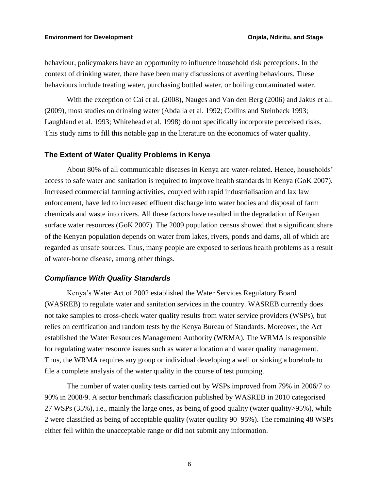behaviour, policymakers have an opportunity to influence household risk perceptions. In the context of drinking water, there have been many discussions of averting behaviours. These behaviours include treating water, purchasing bottled water, or boiling contaminated water.

With the exception of Cai et al. (2008), Nauges and Van den Berg (2006) and Jakus et al. (2009), most studies on drinking water (Abdalla et al. 1992; Collins and Steinbeck 1993; Laughland et al. 1993; Whitehead et al. 1998) do not specifically incorporate perceived risks. This study aims to fill this notable gap in the literature on the economics of water quality.

#### **The Extent of Water Quality Problems in Kenya**

About 80% of all communicable diseases in Kenya are water-related. Hence, households' access to safe water and sanitation is required to improve health standards in Kenya (GoK 2007). Increased commercial farming activities, coupled with rapid industrialisation and lax law enforcement, have led to increased effluent discharge into water bodies and disposal of farm chemicals and waste into rivers. All these factors have resulted in the degradation of Kenyan surface water resources (GoK 2007). The 2009 population census showed that a significant share of the Kenyan population depends on water from lakes, rivers, ponds and dams, all of which are regarded as unsafe sources. Thus, many people are exposed to serious health problems as a result of water-borne disease, among other things.

#### *Compliance With Quality Standards*

Kenya's Water Act of 2002 established the Water Services Regulatory Board (WASREB) to regulate water and sanitation services in the country. WASREB currently does not take samples to cross-check water quality results from water service providers (WSPs), but relies on certification and random tests by the Kenya Bureau of Standards. Moreover, the Act established the Water Resources Management Authority (WRMA). The WRMA is responsible for regulating water resource issues such as water allocation and water quality management. Thus, the WRMA requires any group or individual developing a well or sinking a borehole to file a complete analysis of the water quality in the course of test pumping.

The number of water quality tests carried out by WSPs improved from 79% in 2006/7 to 90% in 2008/9. A sector benchmark classification published by WASREB in 2010 categorised 27 WSPs (35%), i.e., mainly the large ones, as being of good quality (water quality>95%), while 2 were classified as being of acceptable quality (water quality 90–95%). The remaining 48 WSPs either fell within the unacceptable range or did not submit any information.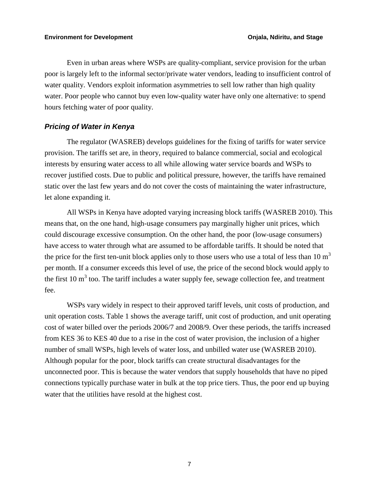Even in urban areas where WSPs are quality-compliant, service provision for the urban poor is largely left to the informal sector/private water vendors, leading to insufficient control of water quality. Vendors exploit information asymmetries to sell low rather than high quality water. Poor people who cannot buy even low-quality water have only one alternative: to spend hours fetching water of poor quality.

#### *Pricing of Water in Kenya*

The regulator (WASREB) develops guidelines for the fixing of tariffs for water service provision. The tariffs set are, in theory, required to balance commercial, social and ecological interests by ensuring water access to all while allowing water service boards and WSPs to recover justified costs. Due to public and political pressure, however, the tariffs have remained static over the last few years and do not cover the costs of maintaining the water infrastructure, let alone expanding it.

All WSPs in Kenya have adopted varying increasing block tariffs (WASREB 2010). This means that, on the one hand, high-usage consumers pay marginally higher unit prices, which could discourage excessive consumption. On the other hand, the poor (low-usage consumers) have access to water through what are assumed to be affordable tariffs. It should be noted that the price for the first ten-unit block applies only to those users who use a total of less than  $10 \text{ m}^3$ per month. If a consumer exceeds this level of use, the price of the second block would apply to the first 10  $m<sup>3</sup>$  too. The tariff includes a water supply fee, sewage collection fee, and treatment fee.

WSPs vary widely in respect to their approved tariff levels, unit costs of production, and unit operation costs. Table 1 shows the average tariff, unit cost of production, and unit operating cost of water billed over the periods 2006/7 and 2008/9. Over these periods, the tariffs increased from KES 36 to KES 40 due to a rise in the cost of water provision, the inclusion of a higher number of small WSPs, high levels of water loss, and unbilled water use (WASREB 2010). Although popular for the poor, block tariffs can create structural disadvantages for the unconnected poor. This is because the water vendors that supply households that have no piped connections typically purchase water in bulk at the top price tiers. Thus, the poor end up buying water that the utilities have resold at the highest cost.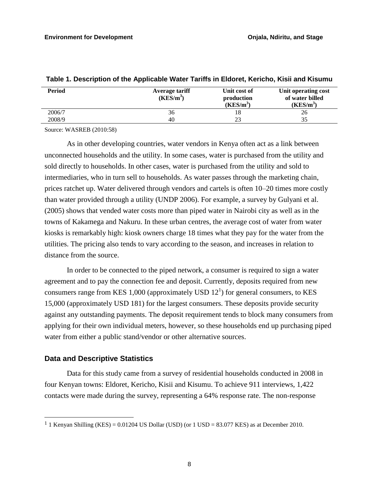| <b>Period</b> | <b>Average tariff</b><br>(KES/m <sup>3</sup> ) | Unit cost of<br>production<br>(KES/m <sup>3</sup> ) | Unit operating cost<br>of water billed<br>(KES/m <sup>3</sup> ) |
|---------------|------------------------------------------------|-----------------------------------------------------|-----------------------------------------------------------------|
| 2006/7        | 36                                             |                                                     | 26                                                              |
| 2008/9        | 40                                             | າຈ                                                  | 35                                                              |

#### **Table 1. Description of the Applicable Water Tariffs in Eldoret, Kericho, Kisii and Kisumu**

Source: WASREB (2010:58)

As in other developing countries, water vendors in Kenya often act as a link between unconnected households and the utility. In some cases, water is purchased from the utility and sold directly to households. In other cases, water is purchased from the utility and sold to intermediaries, who in turn sell to households. As water passes through the marketing chain, prices ratchet up. Water delivered through vendors and cartels is often 10–20 times more costly than water provided through a utility (UNDP 2006). For example, a survey by Gulyani et al. (2005) shows that vended water costs more than piped water in Nairobi city as well as in the towns of Kakamega and Nakuru. In these urban centres, the average cost of water from water kiosks is remarkably high: kiosk owners charge 18 times what they pay for the water from the utilities. The pricing also tends to vary according to the season, and increases in relation to distance from the source.

In order to be connected to the piped network, a consumer is required to sign a water agreement and to pay the connection fee and deposit. Currently, deposits required from new consumers range from KES 1,000 (approximately USD  $12<sup>1</sup>$ ) for general consumers, to KES 15,000 (approximately USD 181) for the largest consumers. These deposits provide security against any outstanding payments. The deposit requirement tends to block many consumers from applying for their own individual meters, however, so these households end up purchasing piped water from either a public stand/vendor or other alternative sources.

#### **Data and Descriptive Statistics**

 $\overline{a}$ 

Data for this study came from a survey of residential households conducted in 2008 in four Kenyan towns: Eldoret, Kericho, Kisii and Kisumu. To achieve 911 interviews, 1,422 contacts were made during the survey, representing a 64% response rate. The non-response

<sup>&</sup>lt;sup>1</sup> 1 Kenyan Shilling (KES) =  $0.01204$  US Dollar (USD) (or 1 USD = 83.077 KES) as at December 2010.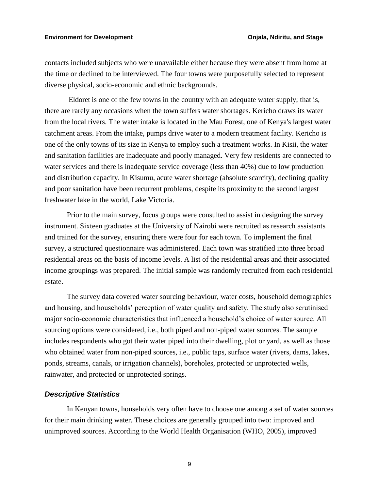contacts included subjects who were unavailable either because they were absent from home at the time or declined to be interviewed. The four towns were purposefully selected to represent diverse physical, socio-economic and ethnic backgrounds.

Eldoret is one of the few towns in the country with an adequate water supply; that is, there are rarely any occasions when the town suffers water shortages. Kericho draws its water from the local rivers. The water intake is located in the Mau Forest, one of Kenya's largest water catchment areas. From the intake, pumps drive water to a modern treatment facility. Kericho is one of the only towns of its size in Kenya to employ such a treatment works. In Kisii, the water and sanitation facilities are inadequate and poorly managed. Very few residents are connected to water services and there is inadequate service coverage (less than 40%) due to low production and distribution capacity. In Kisumu, acute water shortage (absolute scarcity), declining quality and poor sanitation have been recurrent problems, despite its proximity to the second largest freshwater lake in the world, Lake Victoria.

Prior to the main survey, focus groups were consulted to assist in designing the survey instrument. Sixteen graduates at the University of Nairobi were recruited as research assistants and trained for the survey, ensuring there were four for each town. To implement the final survey, a structured questionnaire was administered. Each town was stratified into three broad residential areas on the basis of income levels. A list of the residential areas and their associated income groupings was prepared. The initial sample was randomly recruited from each residential estate.

The survey data covered water sourcing behaviour, water costs, household demographics and housing, and households' perception of water quality and safety. The study also scrutinised major socio-economic characteristics that influenced a household's choice of water source. All sourcing options were considered, i.e., both piped and non-piped water sources. The sample includes respondents who got their water piped into their dwelling, plot or yard, as well as those who obtained water from non-piped sources, i.e., public taps, surface water (rivers, dams, lakes, ponds, streams, canals, or irrigation channels), boreholes, protected or unprotected wells, rainwater, and protected or unprotected springs.

#### *Descriptive Statistics*

In Kenyan towns, households very often have to choose one among a set of water sources for their main drinking water. These choices are generally grouped into two: improved and unimproved sources. According to the World Health Organisation (WHO, 2005), improved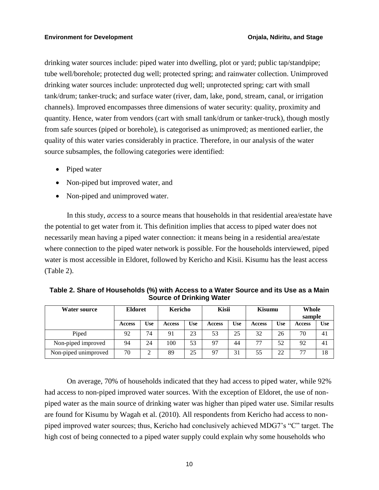drinking water sources include: piped water into dwelling, plot or yard; public tap/standpipe; tube well/borehole; protected dug well; protected spring; and rainwater collection. Unimproved drinking water sources include: unprotected dug well; unprotected spring; cart with small tank/drum; tanker-truck; and surface water (river, dam, lake, pond, stream, canal, or irrigation channels). Improved encompasses three dimensions of water security: quality, proximity and quantity. Hence, water from vendors (cart with small tank/drum or tanker-truck), though mostly from safe sources (piped or borehole), is categorised as unimproved; as mentioned earlier, the quality of this water varies considerably in practice. Therefore, in our analysis of the water source subsamples, the following categories were identified:

- Piped water
- Non-piped but improved water, and
- Non-piped and unimproved water.

In this study, *access* to a source means that households in that residential area/estate have the potential to get water from it. This definition implies that access to piped water does not necessarily mean having a piped water connection: it means being in a residential area/estate where connection to the piped water network is possible. For the households interviewed, piped water is most accessible in Eldoret, followed by Kericho and Kisii. Kisumu has the least access (Table 2).

**Table 2. Share of Households (%) with Access to a Water Source and its Use as a Main Source of Drinking Water**

| <b>Water source</b>  | Eldoret       |        | Kericho       |     | <b>Kisii</b>  |            | <b>Kisumu</b> |            | Whole<br>sample |            |
|----------------------|---------------|--------|---------------|-----|---------------|------------|---------------|------------|-----------------|------------|
|                      | <b>Access</b> | Use    | <b>Access</b> | Use | <b>Access</b> | <b>Use</b> | <b>Access</b> | <b>Use</b> | <b>Access</b>   | <b>Use</b> |
| Piped                | 92            | 74     | 91            | 23  | 53            | 25         | 32            | 26         | 70              | 41         |
| Non-piped improved   | 94            | 24     | 100           | 53  | 97            | 44         | 77            | 52         | 92              | 41         |
| Non-piped unimproved | 70            | ◠<br>∠ | 89            | 25  | 97            | 31         | 55            | 22         | 77              | 18         |

On average, 70% of households indicated that they had access to piped water, while 92% had access to non-piped improved water sources. With the exception of Eldoret, the use of nonpiped water as the main source of drinking water was higher than piped water use. Similar results are found for Kisumu by Wagah et al. (2010). All respondents from Kericho had access to nonpiped improved water sources; thus, Kericho had conclusively achieved MDG7's "C" target. The high cost of being connected to a piped water supply could explain why some households who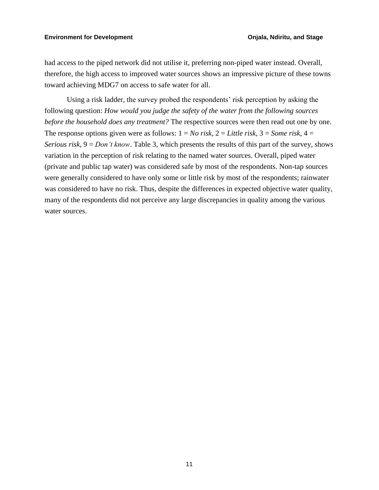had access to the piped network did not utilise it, preferring non-piped water instead. Overall, therefore, the high access to improved water sources shows an impressive picture of these towns toward achieving MDG7 on access to safe water for all.

Using a risk ladder, the survey probed the respondents' risk perception by asking the following question: *How would you judge the safety of the water from the following sources before the household does any treatment?* The respective sources were then read out one by one. The response options given were as follows:  $1 = No$  risk,  $2 = Little$  risk,  $3 = Some$  risk,  $4 =$ *Serious risk*, 9 = *Don't know*. Table 3, which presents the results of this part of the survey, shows variation in the perception of risk relating to the named water sources. Overall, piped water (private and public tap water) was considered safe by most of the respondents. Non-tap sources were generally considered to have only some or little risk by most of the respondents; rainwater was considered to have no risk. Thus, despite the differences in expected objective water quality, many of the respondents did not perceive any large discrepancies in quality among the various water sources.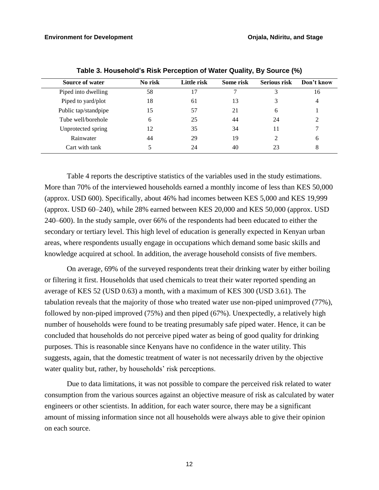|                        |         |             |           | - - - - - - 1 - - <b>1</b> |            |
|------------------------|---------|-------------|-----------|----------------------------|------------|
| <b>Source of water</b> | No risk | Little risk | Some risk | <b>Serious risk</b>        | Don't know |
| Piped into dwelling    | 58      | 17          |           |                            | 16         |
| Piped to yard/plot     | 18      | 61          | 13        |                            | 4          |
| Public tap/standpipe   | 15      | 57          | 21        | 6                          |            |
| Tube well/borehole     | 6       | 25          | 44        | 24                         | ∍          |
| Unprotected spring     | 12      | 35          | 34        | 11                         |            |
| Rainwater              | 44      | 29          | 19        |                            | 6          |
| Cart with tank         |         | 24          | 40        | 23                         | 8          |

**Table 3. Household's Risk Perception of Water Quality, By Source (%)**

Table 4 reports the descriptive statistics of the variables used in the study estimations. More than 70% of the interviewed households earned a monthly income of less than KES 50,000 (approx. USD 600). Specifically, about 46% had incomes between KES 5,000 and KES 19,999 (approx. USD 60–240), while 28% earned between KES 20,000 and KES 50,000 (approx. USD 240–600). In the study sample, over 66% of the respondents had been educated to either the secondary or tertiary level. This high level of education is generally expected in Kenyan urban areas, where respondents usually engage in occupations which demand some basic skills and knowledge acquired at school. In addition, the average household consists of five members.

On average, 69% of the surveyed respondents treat their drinking water by either boiling or filtering it first. Households that used chemicals to treat their water reported spending an average of KES 52 (USD 0.63) a month, with a maximum of KES 300 (USD 3.61). The tabulation reveals that the majority of those who treated water use non-piped unimproved (77%), followed by non-piped improved (75%) and then piped (67%). Unexpectedly, a relatively high number of households were found to be treating presumably safe piped water. Hence, it can be concluded that households do not perceive piped water as being of good quality for drinking purposes. This is reasonable since Kenyans have no confidence in the water utility. This suggests, again, that the domestic treatment of water is not necessarily driven by the objective water quality but, rather, by households' risk perceptions.

Due to data limitations, it was not possible to compare the perceived risk related to water consumption from the various sources against an objective measure of risk as calculated by water engineers or other scientists. In addition, for each water source, there may be a significant amount of missing information since not all households were always able to give their opinion on each source.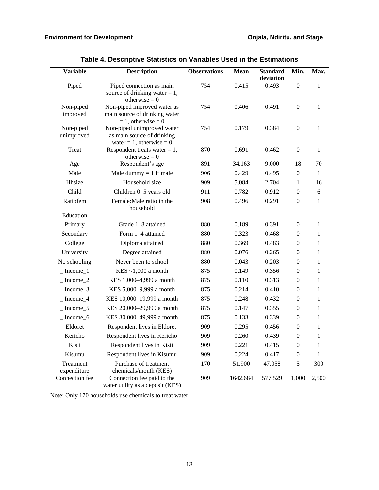| <b>Variable</b>          | <b>Description</b>                                                                      | <b>Observations</b> | <b>Mean</b> | <b>Standard</b><br>deviation | Min.             | Max.         |
|--------------------------|-----------------------------------------------------------------------------------------|---------------------|-------------|------------------------------|------------------|--------------|
| Piped                    | Piped connection as main<br>source of drinking water $= 1$ ,<br>otherwise $= 0$         | 754                 | 0.415       | 0.493                        | $\mathbf{0}$     | $\mathbf{1}$ |
| Non-piped<br>improved    | Non-piped improved water as<br>main source of drinking water<br>$= 1$ , otherwise $= 0$ | 754                 | 0.406       | 0.491                        | $\boldsymbol{0}$ | $\mathbf{1}$ |
| Non-piped<br>unimproved  | Non-piped unimproved water<br>as main source of drinking<br>water = 1, otherwise = $0$  | 754                 | 0.179       | 0.384                        | $\boldsymbol{0}$ | $\mathbf{1}$ |
| Treat                    | Respondent treats water $= 1$ ,<br>otherwise $= 0$                                      | 870                 | 0.691       | 0.462                        | $\boldsymbol{0}$ | 1            |
| Age                      | Respondent's age                                                                        | 891                 | 34.163      | 9.000                        | 18               | 70           |
| Male                     | Male dummy $= 1$ if male                                                                | 906                 | 0.429       | 0.495                        | $\boldsymbol{0}$ | 1            |
| Hhsize                   | Household size                                                                          | 909                 | 5.084       | 2.704                        | 1                | 16           |
| Child                    | Children 0-5 years old                                                                  | 911                 | 0.782       | 0.912                        | $\boldsymbol{0}$ | 6            |
| Ratiofem                 | Female: Male ratio in the<br>household                                                  | 908                 | 0.496       | 0.291                        | $\mathbf{0}$     | $\mathbf{1}$ |
| Education                |                                                                                         |                     |             |                              |                  |              |
| Primary                  | Grade 1-8 attained                                                                      | 880                 | 0.189       | 0.391                        | $\boldsymbol{0}$ | $\mathbf 1$  |
| Secondary                | Form 1-4 attained                                                                       | 880                 | 0.323       | 0.468                        | $\mathbf{0}$     | 1            |
| College                  | Diploma attained                                                                        | 880                 | 0.369       | 0.483                        | $\mathbf{0}$     | 1            |
| University               | Degree attained                                                                         | 880                 | 0.076       | 0.265                        | $\boldsymbol{0}$ | $\mathbf 1$  |
| No schooling             | Never been to school                                                                    | 880                 | 0.043       | 0.203                        | $\theta$         | 1            |
| $Income_1$               | KES <1,000 a month                                                                      | 875                 | 0.149       | 0.356                        | $\boldsymbol{0}$ | 1            |
| $Income_2$               | KES 1,000-4,999 a month                                                                 | 875                 | 0.110       | 0.313                        | $\boldsymbol{0}$ | 1            |
| $Income_3$               | KES 5,000-9,999 a month                                                                 | 875                 | 0.214       | 0.410                        | $\theta$         | 1            |
| $Income_4$               | KES 10,000-19,999 a month                                                               | 875                 | 0.248       | 0.432                        | $\boldsymbol{0}$ | 1            |
| $Income_5$               | KES 20,000-29,999 a month                                                               | 875                 | 0.147       | 0.355                        | $\boldsymbol{0}$ | 1            |
| $Income_6$               | KES 30,000-49,999 a month                                                               | 875                 | 0.133       | 0.339                        | $\boldsymbol{0}$ | 1            |
| Eldoret                  | Respondent lives in Eldoret                                                             | 909                 | 0.295       | 0.456                        | $\mathbf{0}$     | 1            |
| Kericho                  | Respondent lives in Kericho                                                             | 909                 | 0.260       | 0.439                        | $\boldsymbol{0}$ | $\mathbf{1}$ |
| Kisii                    | Respondent lives in Kisii                                                               | 909                 | 0.221       | 0.415                        | $\theta$         | $\mathbf{1}$ |
| Kisumu                   | Respondent lives in Kisumu                                                              | 909                 | 0.224       | 0.417                        | $\mathbf{0}$     | $\mathbf{1}$ |
| Treatment<br>expenditure | Purchase of treatment<br>chemicals/month (KES)                                          | 170                 | 51.900      | 47.058                       | 5                | 300          |
| Connection fee           | Connection fee paid to the<br>water utility as a deposit (KES)                          | 909                 | 1642.684    | 577.529                      | 1,000            | 2,500        |

Note: Only 170 households use chemicals to treat water.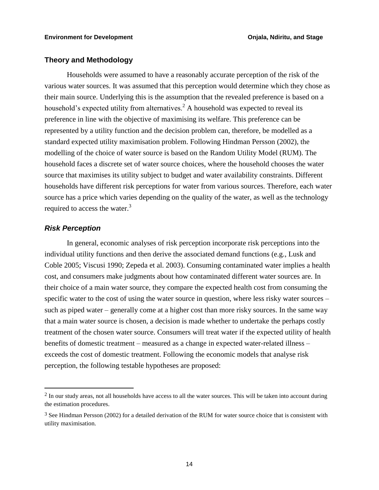#### **Theory and Methodology**

Households were assumed to have a reasonably accurate perception of the risk of the various water sources. It was assumed that this perception would determine which they chose as their main source. Underlying this is the assumption that the revealed preference is based on a household's expected utility from alternatives.<sup>2</sup> A household was expected to reveal its preference in line with the objective of maximising its welfare. This preference can be represented by a utility function and the decision problem can, therefore, be modelled as a standard expected utility maximisation problem. Following Hindman Persson (2002), the modelling of the choice of water source is based on the Random Utility Model (RUM). The household faces a discrete set of water source choices, where the household chooses the water source that maximises its utility subject to budget and water availability constraints. Different households have different risk perceptions for water from various sources. Therefore, each water source has a price which varies depending on the quality of the water, as well as the technology required to access the water.<sup>3</sup>

#### *Risk Perception*

 $\overline{a}$ 

In general, economic analyses of risk perception incorporate risk perceptions into the individual utility functions and then derive the associated demand functions (e.g., Lusk and Coble 2005; Viscusi 1990; Zepeda et al. 2003). Consuming contaminated water implies a health cost, and consumers make judgments about how contaminated different water sources are. In their choice of a main water source, they compare the expected health cost from consuming the specific water to the cost of using the water source in question, where less risky water sources – such as piped water – generally come at a higher cost than more risky sources. In the same way that a main water source is chosen, a decision is made whether to undertake the perhaps costly treatment of the chosen water source. Consumers will treat water if the expected utility of health benefits of domestic treatment – measured as a change in expected water-related illness – exceeds the cost of domestic treatment. Following the economic models that analyse risk perception, the following testable hypotheses are proposed:

<sup>&</sup>lt;sup>2</sup> In our study areas, not all households have access to all the water sources. This will be taken into account during the estimation procedures.

<sup>&</sup>lt;sup>3</sup> See Hindman Persson (2002) for a detailed derivation of the RUM for water source choice that is consistent with utility maximisation.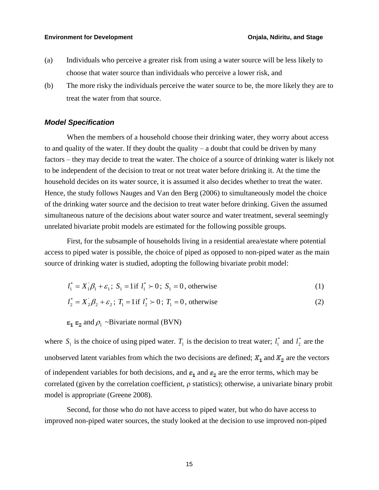- (a) Individuals who perceive a greater risk from using a water source will be less likely to choose that water source than individuals who perceive a lower risk, and
- (b) The more risky the individuals perceive the water source to be, the more likely they are to treat the water from that source.

#### *Model Specification*

When the members of a household choose their drinking water, they worry about access to and quality of the water. If they doubt the quality – a doubt that could be driven by many factors – they may decide to treat the water. The choice of a source of drinking water is likely not to be independent of the decision to treat or not treat water before drinking it. At the time the household decides on its water source, it is assumed it also decides whether to treat the water. Hence, the study follows Nauges and Van den Berg (2006) to simultaneously model the choice of the drinking water source and the decision to treat water before drinking. Given the assumed simultaneous nature of the decisions about water source and water treatment, several seemingly unrelated bivariate probit models are estimated for the following possible groups.

First, for the subsample of households living in a residential area/estate where potential access to piped water is possible, the choice of piped as opposed to non-piped water as the main source of drinking water is studied, adopting the following bivariate probit model:

$$
l_1^* = X_1^* \beta_1 + \varepsilon_1; \ S_1 = 1 \text{ if } l_1^* \succ 0; \ S_1 = 0, \text{ otherwise}
$$
 (1)

$$
l_2^* = X_2 \beta_2 + \varepsilon_2; T_1 = 1 \text{ if } l_2^* \succ 0; T_1 = 0, \text{ otherwise}
$$
 (2)

and  $\rho_1 \sim$ Bivariate normal (BVN)

where  $S_1$  is the choice of using piped water.  $T_1$  is the decision to treat water;  $l_1^*$  $l_1^*$  and  $l_2^*$  $l_2^*$  are the unobserved latent variables from which the two decisions are defined;  $X_1$  and  $X_2$  are the vectors of independent variables for both decisions, and  $\varepsilon_1$  and  $\varepsilon_2$  are the error terms, which may be correlated (given by the correlation coefficient,  $\rho$  statistics); otherwise, a univariate binary probit model is appropriate (Greene 2008).

Second, for those who do not have access to piped water, but who do have access to improved non-piped water sources, the study looked at the decision to use improved non-piped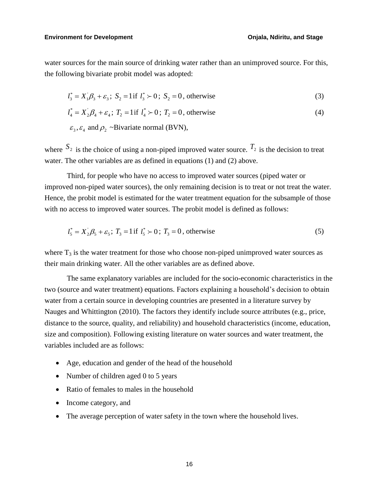water sources for the main source of drinking water rather than an unimproved source. For this, the following bivariate probit model was adopted:

$$
l_3^* = X_1' \beta_3 + \varepsilon_3; \ S_2 = 1 \text{ if } l_3^* \succ 0; \ S_2 = 0, \text{ otherwise}
$$
 (3)

$$
l_4^* = X_2' \beta_4 + \varepsilon_4; T_2 = 1 \text{ if } l_4^* \succ 0; T_2 = 0, \text{ otherwise}
$$
 (4)

 $\varepsilon_3$ ,  $\varepsilon_4$  and  $\rho_2$  ~Bivariate normal (BVN),

where  $S_2$  is the choice of using a non-piped improved water source.  $T_2$  is the decision to treat water. The other variables are as defined in equations (1) and (2) above.

Third, for people who have no access to improved water sources (piped water or improved non-piped water sources), the only remaining decision is to treat or not treat the water. Hence, the probit model is estimated for the water treatment equation for the subsample of those with no access to improved water sources. The probit model is defined as follows:

$$
l_5^* = X_2 \beta_5 + \varepsilon_5; T_3 = 1 \text{ if } l_5^* \succ 0; T_3 = 0, \text{ otherwise}
$$
 (5)

where  $T_3$  is the water treatment for those who choose non-piped unimproved water sources as their main drinking water. All the other variables are as defined above.

The same explanatory variables are included for the socio-economic characteristics in the two (source and water treatment) equations. Factors explaining a household's decision to obtain water from a certain source in developing countries are presented in a literature survey by Nauges and Whittington (2010). The factors they identify include source attributes (e.g., price, distance to the source, quality, and reliability) and household characteristics (income, education, size and composition). Following existing literature on water sources and water treatment, the variables included are as follows:

- Age, education and gender of the head of the household
- Number of children aged 0 to 5 years
- Ratio of females to males in the household
- Income category, and
- The average perception of water safety in the town where the household lives.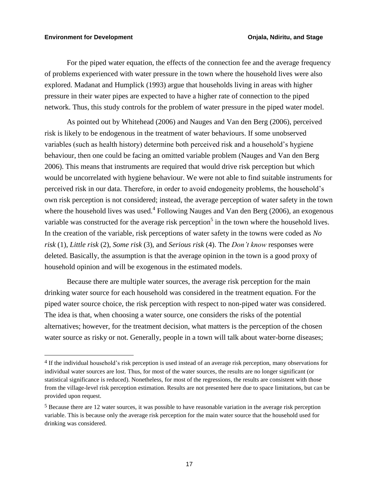$\overline{a}$ 

For the piped water equation, the effects of the connection fee and the average frequency of problems experienced with water pressure in the town where the household lives were also explored. Madanat and Humplick (1993) argue that households living in areas with higher pressure in their water pipes are expected to have a higher rate of connection to the piped network. Thus, this study controls for the problem of water pressure in the piped water model.

As pointed out by Whitehead (2006) and Nauges and Van den Berg (2006), perceived risk is likely to be endogenous in the treatment of water behaviours. If some unobserved variables (such as health history) determine both perceived risk and a household's hygiene behaviour, then one could be facing an omitted variable problem (Nauges and Van den Berg 2006). This means that instruments are required that would drive risk perception but which would be uncorrelated with hygiene behaviour. We were not able to find suitable instruments for perceived risk in our data. Therefore, in order to avoid endogeneity problems, the household's own risk perception is not considered; instead, the average perception of water safety in the town where the household lives was used.<sup>4</sup> Following Nauges and Van den Berg (2006), an exogenous variable was constructed for the average risk perception<sup>5</sup> in the town where the household lives. In the creation of the variable, risk perceptions of water safety in the towns were coded as *No risk* (1), *Little risk* (2), *Some risk* (3), and *Serious risk* (4). The *Don't know* responses were deleted. Basically, the assumption is that the average opinion in the town is a good proxy of household opinion and will be exogenous in the estimated models.

Because there are multiple water sources, the average risk perception for the main drinking water source for each household was considered in the treatment equation. For the piped water source choice, the risk perception with respect to non-piped water was considered. The idea is that, when choosing a water source, one considers the risks of the potential alternatives; however, for the treatment decision, what matters is the perception of the chosen water source as risky or not. Generally, people in a town will talk about water-borne diseases;

<sup>4</sup> If the individual household's risk perception is used instead of an average risk perception, many observations for individual water sources are lost. Thus, for most of the water sources, the results are no longer significant (or statistical significance is reduced). Nonetheless, for most of the regressions, the results are consistent with those from the village-level risk perception estimation. Results are not presented here due to space limitations, but can be provided upon request.

<sup>5</sup> Because there are 12 water sources, it was possible to have reasonable variation in the average risk perception variable. This is because only the average risk perception for the main water source that the household used for drinking was considered.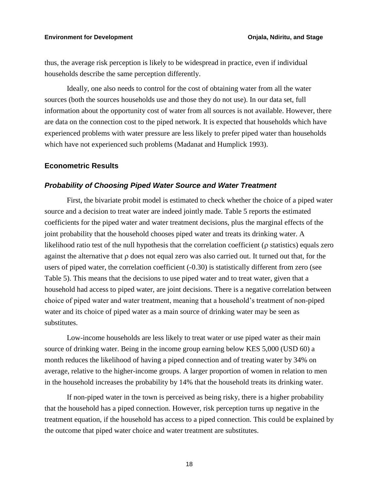thus, the average risk perception is likely to be widespread in practice, even if individual households describe the same perception differently.

Ideally, one also needs to control for the cost of obtaining water from all the water sources (both the sources households use and those they do not use). In our data set, full information about the opportunity cost of water from all sources is not available. However, there are data on the connection cost to the piped network. It is expected that households which have experienced problems with water pressure are less likely to prefer piped water than households which have not experienced such problems (Madanat and Humplick 1993).

#### **Econometric Results**

#### *Probability of Choosing Piped Water Source and Water Treatment*

First, the bivariate probit model is estimated to check whether the choice of a piped water source and a decision to treat water are indeed jointly made. Table 5 reports the estimated coefficients for the piped water and water treatment decisions, plus the marginal effects of the joint probability that the household chooses piped water and treats its drinking water. A likelihood ratio test of the null hypothesis that the correlation coefficient ( $\rho$  statistics) equals zero against the alternative that  $\rho$  does not equal zero was also carried out. It turned out that, for the users of piped water, the correlation coefficient (-0.30) is statistically different from zero (see Table 5). This means that the decisions to use piped water and to treat water, given that a household had access to piped water, are joint decisions. There is a negative correlation between choice of piped water and water treatment, meaning that a household's treatment of non-piped water and its choice of piped water as a main source of drinking water may be seen as substitutes.

Low-income households are less likely to treat water or use piped water as their main source of drinking water. Being in the income group earning below KES 5,000 (USD 60) a month reduces the likelihood of having a piped connection and of treating water by 34% on average, relative to the higher-income groups. A larger proportion of women in relation to men in the household increases the probability by 14% that the household treats its drinking water.

If non-piped water in the town is perceived as being risky, there is a higher probability that the household has a piped connection. However, risk perception turns up negative in the treatment equation, if the household has access to a piped connection. This could be explained by the outcome that piped water choice and water treatment are substitutes.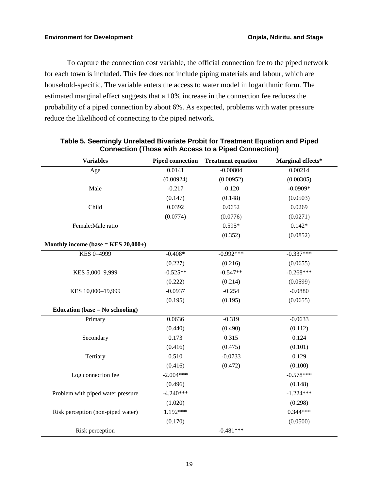#### **Environment for Development Consumering and Stage Conjala, Ndiritu, and Stage**

To capture the connection cost variable, the official connection fee to the piped network for each town is included. This fee does not include piping materials and labour, which are household-specific. The variable enters the access to water model in logarithmic form. The estimated marginal effect suggests that a 10% increase in the connection fee reduces the probability of a piped connection by about 6%. As expected, problems with water pressure reduce the likelihood of connecting to the piped network.

| <b>Variables</b>                       | <b>Piped connection</b> | <b>Treatment equation</b> | Marginal effects* |
|----------------------------------------|-------------------------|---------------------------|-------------------|
| Age                                    | 0.0141                  | $-0.00804$                | 0.00214           |
|                                        | (0.00924)               | (0.00952)                 | (0.00305)         |
| Male                                   | $-0.217$                | $-0.120$                  | $-0.0909*$        |
|                                        | (0.147)                 | (0.148)                   | (0.0503)          |
| Child                                  | 0.0392                  | 0.0652                    | 0.0269            |
|                                        | (0.0774)                | (0.0776)                  | (0.0271)          |
| Female: Male ratio                     |                         | $0.595*$                  | $0.142*$          |
|                                        |                         | (0.352)                   | (0.0852)          |
| Monthly income (base = $KES 20,000+$ ) |                         |                           |                   |
| KES 0-4999                             | $-0.408*$               | $-0.992***$               | $-0.337***$       |
|                                        | (0.227)                 | (0.216)                   | (0.0655)          |
| KES 5,000-9,999                        | $-0.525**$              | $-0.547**$                | $-0.268***$       |
|                                        | (0.222)                 | (0.214)                   | (0.0599)          |
| KES 10,000-19,999                      | $-0.0937$               | $-0.254$                  | $-0.0880$         |
|                                        | (0.195)                 | (0.195)                   | (0.0655)          |
| Education (base = $No$ schooling)      |                         |                           |                   |
| Primary                                | 0.0636                  | $-0.319$                  | $-0.0633$         |
|                                        | (0.440)                 | (0.490)                   | (0.112)           |
| Secondary                              | 0.173                   | 0.315                     | 0.124             |
|                                        | (0.416)                 | (0.475)                   | (0.101)           |
| Tertiary                               | 0.510                   | $-0.0733$                 | 0.129             |
|                                        | (0.416)                 | (0.472)                   | (0.100)           |
| Log connection fee                     | $-2.004***$             |                           | $-0.578***$       |
|                                        | (0.496)                 |                           | (0.148)           |
| Problem with piped water pressure      | $-4.240***$             |                           | $-1.224***$       |
|                                        | (1.020)                 |                           | (0.298)           |
| Risk perception (non-piped water)      | $1.192***$              |                           | $0.344***$        |
|                                        | (0.170)                 |                           | (0.0500)          |
| Risk perception                        |                         | $-0.481***$               |                   |

#### **Table 5. Seemingly Unrelated Bivariate Probit for Treatment Equation and Piped Connection (Those with Access to a Piped Connection)**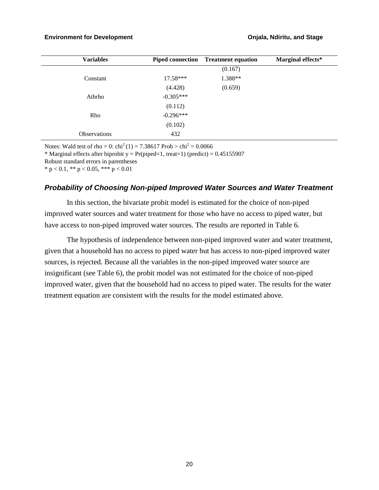| <b>Variables</b>    | <b>Piped connection</b> | <b>Treatment equation</b> | Marginal effects* |
|---------------------|-------------------------|---------------------------|-------------------|
|                     |                         | (0.167)                   |                   |
| Constant            | $17.58***$              | 1.388**                   |                   |
|                     | (4.428)                 | (0.659)                   |                   |
| Athrho              | $-0.305***$             |                           |                   |
|                     | (0.112)                 |                           |                   |
| Rho                 | $-0.296***$             |                           |                   |
|                     | (0.102)                 |                           |                   |
| <b>Observations</b> | 432                     |                           |                   |

Notes: Wald test of rho = 0:  $\text{chi}^2(1) = 7.38617 \text{ Prob} > \text{chi}^2 = 0.0066$ 

\* Marginal effects after biprobit y =  $Pr(piped=1, treat=1)$  (predict) = 0.45155907

Robust standard errors in parentheses

\* p < 0.1, \*\* p < 0.05, \*\*\* p < 0.01

#### *Probability of Choosing Non-piped Improved Water Sources and Water Treatment*

In this section, the bivariate probit model is estimated for the choice of non-piped improved water sources and water treatment for those who have no access to piped water, but have access to non-piped improved water sources. The results are reported in Table 6.

The hypothesis of independence between non-piped improved water and water treatment, given that a household has no access to piped water but has access to non-piped improved water sources, is rejected. Because all the variables in the non-piped improved water source are insignificant (see Table 6), the probit model was not estimated for the choice of non-piped improved water, given that the household had no access to piped water. The results for the water treatment equation are consistent with the results for the model estimated above.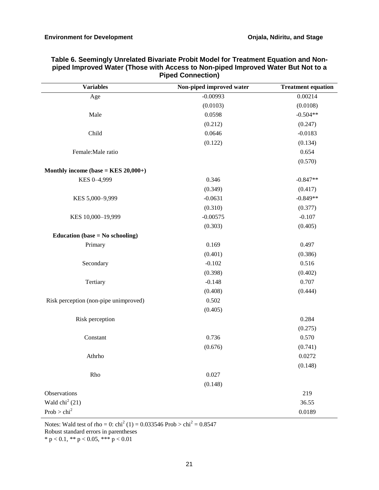| <b>Variables</b>                       | Non-piped improved water | <b>Treatment equation</b> |
|----------------------------------------|--------------------------|---------------------------|
| Age                                    | $-0.00993$               | 0.00214                   |
|                                        | (0.0103)                 | (0.0108)                  |
| Male                                   | 0.0598                   | $-0.504**$                |
|                                        | (0.212)                  | (0.247)                   |
| Child                                  | 0.0646                   | $-0.0183$                 |
|                                        | (0.122)                  | (0.134)                   |
| Female: Male ratio                     |                          | 0.654                     |
|                                        |                          | (0.570)                   |
| Monthly income (base = $KES 20,000+$ ) |                          |                           |
| KES 0-4,999                            | 0.346                    | $-0.847**$                |
|                                        | (0.349)                  | (0.417)                   |
| KES 5,000-9,999                        | $-0.0631$                | $-0.849**$                |
|                                        | (0.310)                  | (0.377)                   |
| KES 10,000-19,999                      | $-0.00575$               | $-0.107$                  |
|                                        | (0.303)                  | (0.405)                   |
| Education (base = $No$ schooling)      |                          |                           |
| Primary                                | 0.169                    | 0.497                     |
|                                        | (0.401)                  | (0.386)                   |
| Secondary                              | $-0.102$                 | 0.516                     |
|                                        | (0.398)                  | (0.402)                   |
| Tertiary                               | $-0.148$                 | 0.707                     |
|                                        | (0.408)                  | (0.444)                   |
| Risk perception (non-pipe unimproved)  | 0.502                    |                           |
|                                        | (0.405)                  |                           |
| Risk perception                        |                          | 0.284                     |
|                                        |                          | (0.275)                   |
| Constant                               | 0.736                    | 0.570                     |
|                                        | (0.676)                  | (0.741)                   |
| Athrho                                 |                          | 0.0272                    |
|                                        |                          | (0.148)                   |
| Rho                                    | 0.027                    |                           |
|                                        | (0.148)                  |                           |
| Observations                           |                          | 219                       |
| Wald $\text{chi}^2$ (21)               |                          | 36.55                     |
| Prob > chi <sup>2</sup>                |                          | 0.0189                    |

#### **Table 6. Seemingly Unrelated Bivariate Probit Model for Treatment Equation and Nonpiped Improved Water (Those with Access to Non-piped Improved Water But Not to a Piped Connection)**

Notes: Wald test of rho = 0:  $\text{chi}^2$  (1) = 0.033546 Prob >  $\text{chi}^2$  = 0.8547

Robust standard errors in parentheses

\* p < 0.1, \*\* p < 0.05, \*\*\* p < 0.01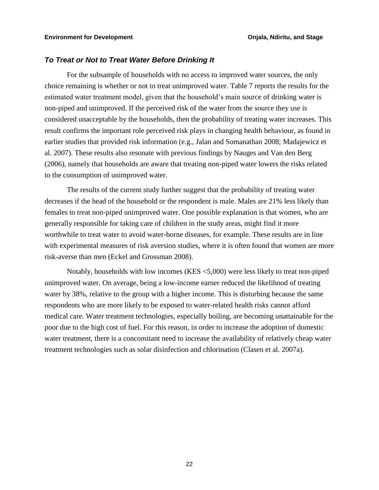#### *To Treat or Not to Treat Water Before Drinking It*

For the subsample of households with no access to improved water sources, the only choice remaining is whether or not to treat unimproved water. Table 7 reports the results for the estimated water treatment model, given that the household's main source of drinking water is non-piped and unimproved. If the perceived risk of the water from the source they use is considered unacceptable by the households, then the probability of treating water increases. This result confirms the important role perceived risk plays in changing health behaviour, as found in earlier studies that provided risk information (e.g., Jalan and Somanathan 2008; Madajewicz et al. 2007). These results also resonate with previous findings by Nauges and Van den Berg (2006), namely that households are aware that treating non-piped water lowers the risks related to the consumption of unimproved water.

The results of the current study further suggest that the probability of treating water decreases if the head of the household or the respondent is male. Males are 21% less likely than females to treat non-piped unimproved water. One possible explanation is that women, who are generally responsible for taking care of children in the study areas, might find it more worthwhile to treat water to avoid water-borne diseases, for example. These results are in line with experimental measures of risk aversion studies, where it is often found that women are more risk-averse than men (Eckel and Grossman 2008).

Notably, households with low incomes (KES <5,000) were less likely to treat non-piped unimproved water. On average, being a low-income earner reduced the likelihood of treating water by 38%, relative to the group with a higher income. This is disturbing because the same respondents who are more likely to be exposed to water-related health risks cannot afford medical care. Water treatment technologies, especially boiling, are becoming unattainable for the poor due to the high cost of fuel. For this reason, in order to increase the adoption of domestic water treatment, there is a concomitant need to increase the availability of relatively cheap water treatment technologies such as solar disinfection and chlorination (Clasen et al. 2007a).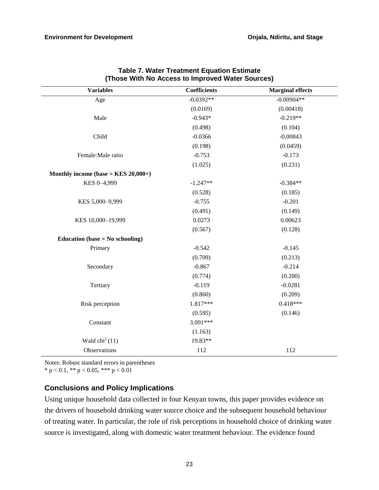| <b>Variables</b>                       | <b>Coefficients</b> | <b>Marginal effects</b> |
|----------------------------------------|---------------------|-------------------------|
| Age                                    | $-0.0392**$         | $-0.00904**$            |
|                                        | (0.0169)            | (0.00418)               |
| Male                                   | $-0.943*$           | $-0.219**$              |
|                                        | (0.498)             | (0.104)                 |
| Child                                  | $-0.0366$           | $-0.00843$              |
|                                        | (0.198)             | (0.0459)                |
| Female: Male ratio                     | $-0.753$            | $-0.173$                |
|                                        | (1.025)             | (0.231)                 |
| Monthly income (base = $KES 20,000+$ ) |                     |                         |
| KES 0-4,999                            | $-1.247**$          | $-0.384**$              |
|                                        | (0.528)             | (0.185)                 |
| KES 5,000-9,999                        | $-0.755$            | $-0.201$                |
|                                        | (0.491)             | (0.149)                 |
| KES 10,000-19,999                      | 0.0273              | 0.00623                 |
|                                        | (0.567)             | (0.128)                 |
| Education (base = $No$ schooling)      |                     |                         |
| Primary                                | $-0.542$            | $-0.145$                |
|                                        | (0.709)             | (0.213)                 |
| Secondary                              | $-0.867$            | $-0.214$                |
|                                        | (0.774)             | (0.200)                 |
| Tertiary                               | $-0.119$            | $-0.0281$               |
|                                        | (0.860)             | (0.209)                 |
| Risk perception                        | 1.817***            | $0.418***$              |
|                                        | (0.595)             | (0.146)                 |
| Constant                               | 3.091***            |                         |
|                                        | (1.163)             |                         |
| Wald $\text{chi}^2(11)$                | 19.83**             |                         |
| Observations                           | 112                 | 112                     |

| <b>Table 7. Water Treatment Equation Estimate</b> |  |  |  |  |
|---------------------------------------------------|--|--|--|--|
| (Those With No Access to Improved Water Sources)  |  |  |  |  |

Notes: Robust standard errors in parentheses

\* p < 0.1, \*\* p < 0.05, \*\*\* p < 0.01

### **Conclusions and Policy Implications**

Using unique household data collected in four Kenyan towns, this paper provides evidence on the drivers of household drinking water source choice and the subsequent household behaviour of treating water. In particular, the role of risk perceptions in household choice of drinking water source is investigated, along with domestic water treatment behaviour. The evidence found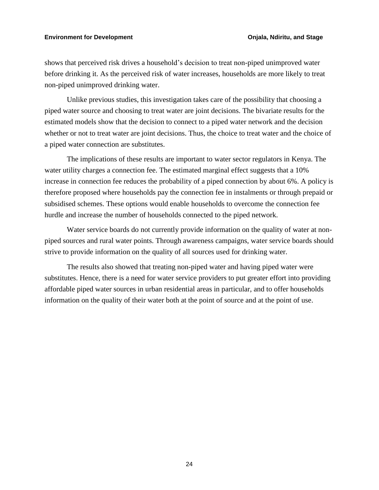shows that perceived risk drives a household's decision to treat non-piped unimproved water before drinking it. As the perceived risk of water increases, households are more likely to treat non-piped unimproved drinking water.

Unlike previous studies, this investigation takes care of the possibility that choosing a piped water source and choosing to treat water are joint decisions. The bivariate results for the estimated models show that the decision to connect to a piped water network and the decision whether or not to treat water are joint decisions. Thus, the choice to treat water and the choice of a piped water connection are substitutes.

The implications of these results are important to water sector regulators in Kenya. The water utility charges a connection fee. The estimated marginal effect suggests that a 10% increase in connection fee reduces the probability of a piped connection by about 6%. A policy is therefore proposed where households pay the connection fee in instalments or through prepaid or subsidised schemes. These options would enable households to overcome the connection fee hurdle and increase the number of households connected to the piped network.

Water service boards do not currently provide information on the quality of water at nonpiped sources and rural water points. Through awareness campaigns, water service boards should strive to provide information on the quality of all sources used for drinking water.

The results also showed that treating non-piped water and having piped water were substitutes. Hence, there is a need for water service providers to put greater effort into providing affordable piped water sources in urban residential areas in particular, and to offer households information on the quality of their water both at the point of source and at the point of use.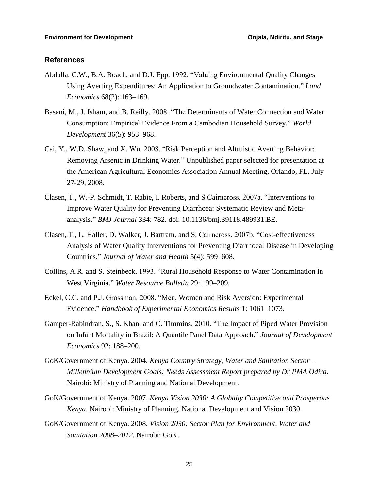#### **References**

- Abdalla, C.W., B.A. Roach, and D.J. Epp. 1992. "Valuing Environmental Quality Changes Using Averting Expenditures: An Application to Groundwater Contamination." *Land Economics* 68(2): 163–169.
- Basani, M., J. Isham, and B. Reilly. 2008. "The Determinants of Water Connection and Water Consumption: Empirical Evidence From a Cambodian Household Survey." *World Development* 36(5): 953–968.
- Cai, Y., W.D. Shaw, and X. Wu. 2008. "Risk Perception and Altruistic Averting Behavior: Removing Arsenic in Drinking Water." Unpublished paper selected for presentation at the American Agricultural Economics Association Annual Meeting, Orlando, FL. July 27-29, 2008.
- Clasen, T., W.-P. Schmidt, T. Rabie, I. Roberts, and S Cairncross. 2007a. "Interventions to Improve Water Quality for Preventing Diarrhoea: Systematic Review and Metaanalysis." *BMJ Journal* 334: 782. doi: 10.1136/bmj.39118.489931.BE.
- Clasen, T., L. Haller, D. Walker, J. Bartram, and S. Cairncross. 2007b. "Cost-effectiveness Analysis of Water Quality Interventions for Preventing Diarrhoeal Disease in Developing Countries." *Journal of Water and Health* 5(4): 599–608.
- Collins, A.R. and S. Steinbeck. 1993. "Rural Household Response to Water Contamination in West Virginia." *Water Resource Bulletin* 29: 199–209.
- Eckel, C.C. and P.J. Grossman. 2008. "Men, Women and Risk Aversion: Experimental Evidence." *Handbook of Experimental Economics Results* 1: 1061–1073.
- Gamper-Rabindran, S., S. Khan, and C. Timmins. 2010. "The Impact of Piped Water Provision on Infant Mortality in Brazil: A Quantile Panel Data Approach." *Journal of Development Economics* 92: 188–200.
- GoK/Government of Kenya. 2004. *Kenya Country Strategy, Water and Sanitation Sector – Millennium Development Goals: Needs Assessment Report prepared by Dr PMA Odira*. Nairobi: Ministry of Planning and National Development.
- GoK/Government of Kenya. 2007. *Kenya Vision 2030: A Globally Competitive and Prosperous Kenya*. Nairobi: Ministry of Planning, National Development and Vision 2030.
- GoK/Government of Kenya. 2008. *Vision 2030: Sector Plan for Environment, Water and Sanitation 2008–2012*. Nairobi: GoK.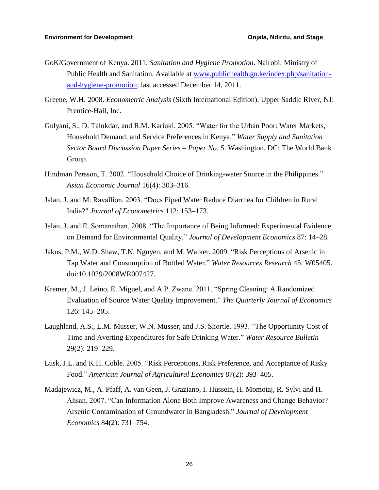- GoK/Government of Kenya. 2011. *Sanitation and Hygiene Promotion*. Nairobi: Ministry of Public Health and Sanitation. Available at [www.publichealth.go.ke/index.php/sanitation](http://www.publichealth.go.ke/index.php/sanitation-and-hygiene-promotion)[and-hygiene-promotion;](http://www.publichealth.go.ke/index.php/sanitation-and-hygiene-promotion) last accessed December 14, 2011.
- Greene, W.H. 2008. *Econometric Analysis* (Sixth International Edition). Upper Saddle River, NJ: Prentice-Hall, Inc.
- Gulyani, S., D. Talukdar, and R.M. Kariuki. 2005. "Water for the Urban Poor: Water Markets, Household Demand, and Service Preferences in Kenya." *Water Supply and Sanitation Sector Board Discussion Paper Series – Paper No. 5*. Washington, DC: The World Bank Group.
- Hindman Persson, T. 2002. "Household Choice of Drinking-water Source in the Philippines." *Asian Economic Journal* 16(4): 303–316.
- Jalan, J. and M. Ravallion. 2003. "Does Piped Water Reduce Diarrhea for Children in Rural India?" *Journal of Econometrics* 112: 153–173.
- Jalan, J. and E. Somanathan. 2008. "The Importance of Being Informed: Experimental Evidence on Demand for Environmental Quality." *Journal of Development Economics* 87: 14–28.
- Jakus, P.M., W.D. Shaw, T.N. Nguyen, and M. Walker. 2009. "Risk Perceptions of Arsenic in Tap Water and Consumption of Bottled Water." *Water Resources Research* 45: W05405. doi:10.1029/2008WR007427.
- Kremer, M., J. Leino, E. Miguel, and A.P. Zwane. 2011. "Spring Cleaning: A Randomized Evaluation of Source Water Quality Improvement." *The Quarterly Journal of Economics* 126: 145–205.
- Laughland, A.S., L.M. Musser, W.N. Musser, and J.S. Shortle. 1993. "The Opportunity Cost of Time and Averting Expenditures for Safe Drinking Water." *Water Resource Bulletin* 29(2): 219–229.
- Lusk, J.L. and K.H. Coble. 2005. "Risk Perceptions, Risk Preference, and Acceptance of Risky Food." *American Journal of Agricultural Economics* 87(2): 393–405.
- Madajewicz, M., A. Pfaff, A. van Geen, J. Graziano, I. Hussein, H. Momotaj, R. Sylvi and H. Ahsan. 2007. "Can Information Alone Both Improve Awareness and Change Behavior? Arsenic Contamination of Groundwater in Bangladesh." *Journal of Development Economics* 84(2): 731–754.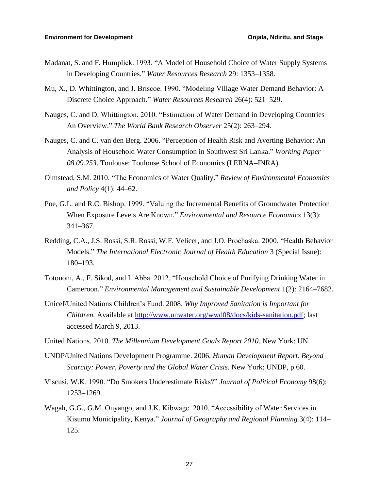- Madanat, S. and F. Humplick. 1993. "A Model of Household Choice of Water Supply Systems in Developing Countries." *Water Resources Research* 29: 1353–1358.
- Mu, X., D. Whittington, and J. Briscoe. 1990. "Modeling Village Water Demand Behavior: A Discrete Choice Approach." *Water Resources Research* 26(4): 521–529.
- Nauges, C. and D. Whittington. 2010. "Estimation of Water Demand in Developing Countries An Overview." *The World Bank Research Observer* 25(2): 263–294.
- Nauges, C. and C. van den Berg. 2006. "Perception of Health Risk and Averting Behavior: An Analysis of Household Water Consumption in Southwest Sri Lanka." *Working Paper 08.09.253*. Toulouse: Toulouse School of Economics (LERNA–INRA).
- Olmstead, S.M. 2010. "The Economics of Water Quality." *Review of Environmental Economics and Policy* 4(1): 44–62.
- Poe, G.L. and R.C. Bishop. 1999. "Valuing the Incremental Benefits of Groundwater Protection When Exposure Levels Are Known." *Environmental and Resource Economics* 13(3): 341–367.
- Redding, C.A., J.S. Rossi, S.R. Rossi, W.F. Velicer, and J.O. Prochaska. 2000. "Health Behavior Models." *The International Electronic Journal of Health Education* 3 (Special Issue): 180–193.
- Totouom, A., F. Sikod, and I. Abba. 2012. "Household Choice of Purifying Drinking Water in Cameroon." *Environmental Management and Sustainable Development* 1(2): 2164–7682.
- Unicef/United Nations Children's Fund. 2008. *Why Improved Sanitation is Important for Children.* Available at [http://www.unwater.org/wwd08/docs/kids-sanitation.pdf;](http://www.unwater.org/wwd08/docs/kids-sanitation.pdf) last accessed March 9, 2013.
- United Nations. 2010. *The Millennium Development Goals Report 2010*. New York: UN.
- UNDP/United Nations Development Programme. 2006. *Human Development Report. Beyond Scarcity: Power, Poverty and the Global Water Crisis*. New York: UNDP, p 60.
- Viscusi, W.K. 1990. "Do Smokers Underestimate Risks?" *Journal of Political Economy* 98(6): 1253–1269.
- Wagah, G.G., G.M. Onyango, and J.K. Kibwage. 2010. "Accessibility of Water Services in Kisumu Municipality, Kenya." *Journal of Geography and Regional Planning* 3(4): 114– 125.